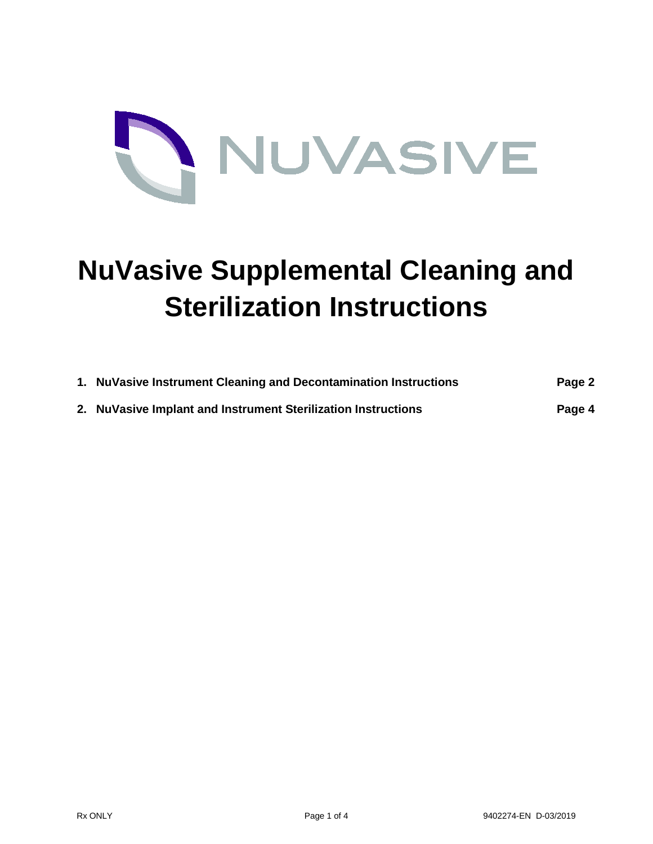

## **NuVasive Supplemental Cleaning and Sterilization Instructions**

| 1. NuVasive Instrument Cleaning and Decontamination Instructions | Page 2 |
|------------------------------------------------------------------|--------|
| 2. NuVasive Implant and Instrument Sterilization Instructions    | Page 4 |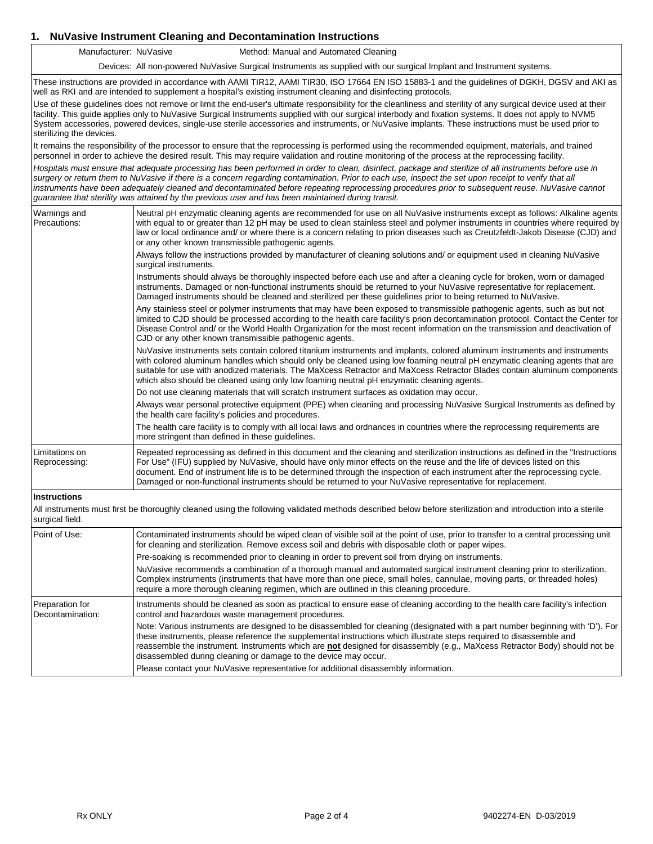## **1. NuVasive Instrument Cleaning and Decontamination Instructions**

Manufacturer: NuVasive Method: Manual and Automated Cleaning

Devices: All non-powered NuVasive Surgical Instruments as supplied with our surgical Implant and Instrument systems.

These instructions are provided in accordance with AAMI TIR12, AAMI TIR30, ISO 17664 EN ISO 15883-1 and the guidelines of DGKH, DGSV and AKI as well as RKI and are intended to supplement a hospital's existing instrument cleaning and disinfecting protocols.

Use of these guidelines does not remove or limit the end-user's ultimate responsibility for the cleanliness and sterility of any surgical device used at their facility. This guide applies only to NuVasive Surgical Instruments supplied with our surgical interbody and fixation systems. It does not apply to NVM5 System accessories, powered devices, single-use sterile accessories and instruments, or NuVasive implants. These instructions must be used prior to sterilizing the devices.

It remains the responsibility of the processor to ensure that the reprocessing is performed using the recommended equipment, materials, and trained personnel in order to achieve the desired result. This may require validation and routine monitoring of the process at the reprocessing facility.

*Hospitals must ensure that adequate processing has been performed in order to clean, disinfect, package and sterilize of all instruments before use in surgery or return them to NuVasive if there is a concern regarding contamination. Prior to each use, inspect the set upon receipt to verify that all* instruments have been adequately cleaned and decontaminated before repeating reprocessing procedures prior to subsequent reuse. NuVasive cannot *guarantee that sterility was attained by the previous user and has been maintained during transit.*

| Warnings and<br>Precautions:        | Neutral pH enzymatic cleaning agents are recommended for use on all NuVasive instruments except as follows: Alkaline agents<br>with equal to or greater than 12 pH may be used to clean stainless steel and polymer instruments in countries where required by<br>law or local ordinance and/ or where there is a concern relating to prion diseases such as Creutzfeldt-Jakob Disease (CJD) and<br>or any other known transmissible pathogenic agents.                                                    |
|-------------------------------------|------------------------------------------------------------------------------------------------------------------------------------------------------------------------------------------------------------------------------------------------------------------------------------------------------------------------------------------------------------------------------------------------------------------------------------------------------------------------------------------------------------|
|                                     | Always follow the instructions provided by manufacturer of cleaning solutions and/ or equipment used in cleaning NuVasive<br>surgical instruments.                                                                                                                                                                                                                                                                                                                                                         |
|                                     | Instruments should always be thoroughly inspected before each use and after a cleaning cycle for broken, worn or damaged<br>instruments. Damaged or non-functional instruments should be returned to your NuVasive representative for replacement.<br>Damaged instruments should be cleaned and sterilized per these guidelines prior to being returned to NuVasive.                                                                                                                                       |
|                                     | Any stainless steel or polymer instruments that may have been exposed to transmissible pathogenic agents, such as but not<br>limited to CJD should be processed according to the health care facility's prion decontamination protocol. Contact the Center for<br>Disease Control and/ or the World Health Organization for the most recent information on the transmission and deactivation of<br>CJD or any other known transmissible pathogenic agents.                                                 |
|                                     | NuVasive instruments sets contain colored titanium instruments and implants, colored aluminum instruments and instruments<br>with colored aluminum handles which should only be cleaned using low foaming neutral pH enzymatic cleaning agents that are<br>suitable for use with anodized materials. The MaXcess Retractor and MaXcess Retractor Blades contain aluminum components<br>which also should be cleaned using only low foaming neutral pH enzymatic cleaning agents.                           |
|                                     | Do not use cleaning materials that will scratch instrument surfaces as oxidation may occur.                                                                                                                                                                                                                                                                                                                                                                                                                |
|                                     | Always wear personal protective equipment (PPE) when cleaning and processing NuVasive Surgical Instruments as defined by<br>the health care facility's policies and procedures.                                                                                                                                                                                                                                                                                                                            |
|                                     | The health care facility is to comply with all local laws and ordnances in countries where the reprocessing requirements are<br>more stringent than defined in these quidelines.                                                                                                                                                                                                                                                                                                                           |
| Limitations on<br>Reprocessing:     | Repeated reprocessing as defined in this document and the cleaning and sterilization instructions as defined in the "Instructions"<br>For Use" (IFU) supplied by NuVasive, should have only minor effects on the reuse and the life of devices listed on this<br>document. End of instrument life is to be determined through the inspection of each instrument after the reprocessing cycle.<br>Damaged or non-functional instruments should be returned to your NuVasive representative for replacement. |
| <b>Instructions</b>                 |                                                                                                                                                                                                                                                                                                                                                                                                                                                                                                            |
| surgical field.                     | All instruments must first be thoroughly cleaned using the following validated methods described below before sterilization and introduction into a sterile                                                                                                                                                                                                                                                                                                                                                |
| Point of Use:                       | Contaminated instruments should be wiped clean of visible soil at the point of use, prior to transfer to a central processing unit<br>for cleaning and sterilization. Remove excess soil and debris with disposable cloth or paper wipes.                                                                                                                                                                                                                                                                  |
|                                     | Pre-soaking is recommended prior to cleaning in order to prevent soil from drying on instruments.                                                                                                                                                                                                                                                                                                                                                                                                          |
|                                     | NuVasive recommends a combination of a thorough manual and automated surgical instrument cleaning prior to sterilization.<br>Complex instruments (instruments that have more than one piece, small holes, cannulae, moving parts, or threaded holes)<br>require a more thorough cleaning regimen, which are outlined in this cleaning procedure.                                                                                                                                                           |
| Preparation for<br>Decontamination: | Instruments should be cleaned as soon as practical to ensure ease of cleaning according to the health care facility's infection<br>control and hazardous waste management procedures.                                                                                                                                                                                                                                                                                                                      |
|                                     | Note: Various instruments are designed to be disassembled for cleaning (designated with a part number beginning with 'D'). For<br>these instruments, please reference the supplemental instructions which illustrate steps required to disassemble and<br>reassemble the instrument. Instruments which are not designed for disassembly (e.g., MaXcess Retractor Body) should not be<br>disassembled during cleaning or damage to the device may occur.                                                    |
|                                     | Please contact your NuVasive representative for additional disassembly information.                                                                                                                                                                                                                                                                                                                                                                                                                        |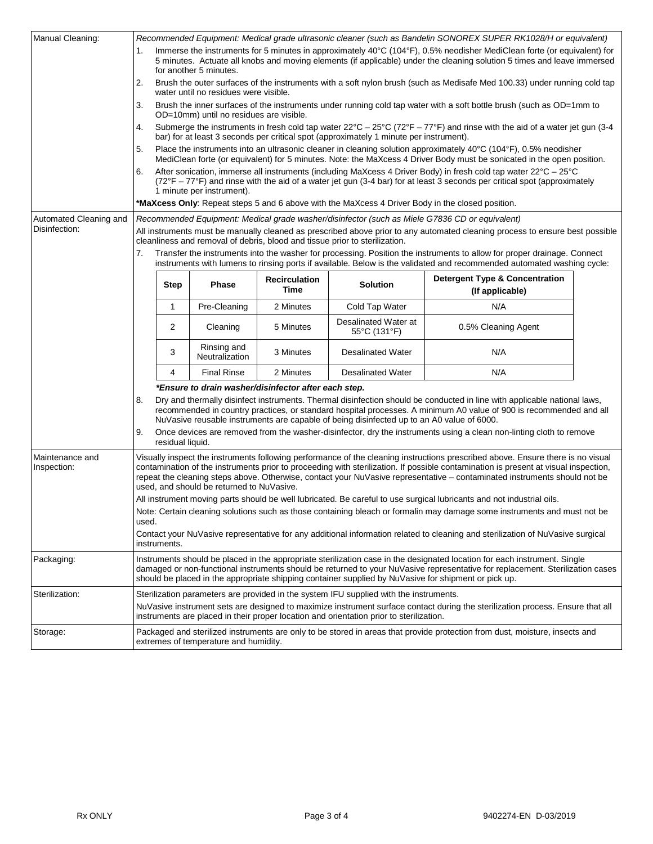| Manual Cleaning:                                                                                                                                                                                                          | Recommended Equipment: Medical grade ultrasonic cleaner (such as Bandelin SONOREX SUPER RK1028/H or equivalent)                                                                                                                                                                                                                                                    |                                                                                                                                                                                                                                                                                                                                             |                                                                                                                                |                                                                                                                                                                                                                                            |                                                                                                                                                             |                                                                                                                                                                                                                                                   |  |  |  |
|---------------------------------------------------------------------------------------------------------------------------------------------------------------------------------------------------------------------------|--------------------------------------------------------------------------------------------------------------------------------------------------------------------------------------------------------------------------------------------------------------------------------------------------------------------------------------------------------------------|---------------------------------------------------------------------------------------------------------------------------------------------------------------------------------------------------------------------------------------------------------------------------------------------------------------------------------------------|--------------------------------------------------------------------------------------------------------------------------------|--------------------------------------------------------------------------------------------------------------------------------------------------------------------------------------------------------------------------------------------|-------------------------------------------------------------------------------------------------------------------------------------------------------------|---------------------------------------------------------------------------------------------------------------------------------------------------------------------------------------------------------------------------------------------------|--|--|--|
|                                                                                                                                                                                                                           | Immerse the instruments for 5 minutes in approximately 40°C (104°F), 0.5% neodisher MediClean forte (or equivalent) for<br>1.<br>5 minutes. Actuate all knobs and moving elements (if applicable) under the cleaning solution 5 times and leave immersed<br>for another 5 minutes.                                                                                 |                                                                                                                                                                                                                                                                                                                                             |                                                                                                                                |                                                                                                                                                                                                                                            |                                                                                                                                                             |                                                                                                                                                                                                                                                   |  |  |  |
|                                                                                                                                                                                                                           | 2.                                                                                                                                                                                                                                                                                                                                                                 | Brush the outer surfaces of the instruments with a soft nylon brush (such as Medisafe Med 100.33) under running cold tap<br>water until no residues were visible.                                                                                                                                                                           |                                                                                                                                |                                                                                                                                                                                                                                            |                                                                                                                                                             |                                                                                                                                                                                                                                                   |  |  |  |
|                                                                                                                                                                                                                           | 3.                                                                                                                                                                                                                                                                                                                                                                 | Brush the inner surfaces of the instruments under running cold tap water with a soft bottle brush (such as OD=1mm to<br>OD=10mm) until no residues are visible.                                                                                                                                                                             |                                                                                                                                |                                                                                                                                                                                                                                            |                                                                                                                                                             |                                                                                                                                                                                                                                                   |  |  |  |
| 4.<br>bar) for at least 3 seconds per critical spot (approximately 1 minute per instrument).                                                                                                                              |                                                                                                                                                                                                                                                                                                                                                                    |                                                                                                                                                                                                                                                                                                                                             |                                                                                                                                |                                                                                                                                                                                                                                            | Submerge the instruments in fresh cold tap water $22^{\circ}C - 25^{\circ}C$ (72 $^{\circ}F - 77^{\circ}F$ ) and rinse with the aid of a water jet gun (3-4 |                                                                                                                                                                                                                                                   |  |  |  |
|                                                                                                                                                                                                                           | 5.                                                                                                                                                                                                                                                                                                                                                                 |                                                                                                                                                                                                                                                                                                                                             |                                                                                                                                | Place the instruments into an ultrasonic cleaner in cleaning solution approximately 40°C (104°F), 0.5% neodisher<br>MediClean forte (or equivalent) for 5 minutes. Note: the MaXcess 4 Driver Body must be sonicated in the open position. |                                                                                                                                                             |                                                                                                                                                                                                                                                   |  |  |  |
|                                                                                                                                                                                                                           | 6.                                                                                                                                                                                                                                                                                                                                                                 | After sonication, immerse all instruments (including MaXcess 4 Driver Body) in fresh cold tap water 22°C - 25°C<br>(72°F – 77°F) and rinse with the aid of a water jet gun (3-4 bar) for at least 3 seconds per critical spot (approximately                                                                                                |                                                                                                                                |                                                                                                                                                                                                                                            |                                                                                                                                                             |                                                                                                                                                                                                                                                   |  |  |  |
|                                                                                                                                                                                                                           |                                                                                                                                                                                                                                                                                                                                                                    | 1 minute per instrument).                                                                                                                                                                                                                                                                                                                   |                                                                                                                                |                                                                                                                                                                                                                                            |                                                                                                                                                             |                                                                                                                                                                                                                                                   |  |  |  |
|                                                                                                                                                                                                                           | *MaXcess Only: Repeat steps 5 and 6 above with the MaXcess 4 Driver Body in the closed position.                                                                                                                                                                                                                                                                   |                                                                                                                                                                                                                                                                                                                                             |                                                                                                                                |                                                                                                                                                                                                                                            |                                                                                                                                                             |                                                                                                                                                                                                                                                   |  |  |  |
| Automated Cleaning and<br>Disinfection:                                                                                                                                                                                   |                                                                                                                                                                                                                                                                                                                                                                    | Recommended Equipment: Medical grade washer/disinfector (such as Miele G7836 CD or equivalent)                                                                                                                                                                                                                                              |                                                                                                                                |                                                                                                                                                                                                                                            |                                                                                                                                                             |                                                                                                                                                                                                                                                   |  |  |  |
|                                                                                                                                                                                                                           | All instruments must be manually cleaned as prescribed above prior to any automated cleaning process to ensure best possible<br>cleanliness and removal of debris, blood and tissue prior to sterilization.                                                                                                                                                        |                                                                                                                                                                                                                                                                                                                                             |                                                                                                                                |                                                                                                                                                                                                                                            |                                                                                                                                                             |                                                                                                                                                                                                                                                   |  |  |  |
|                                                                                                                                                                                                                           | 7.                                                                                                                                                                                                                                                                                                                                                                 |                                                                                                                                                                                                                                                                                                                                             |                                                                                                                                |                                                                                                                                                                                                                                            |                                                                                                                                                             | Transfer the instruments into the washer for processing. Position the instruments to allow for proper drainage. Connect<br>instruments with lumens to rinsing ports if available. Below is the validated and recommended automated washing cycle: |  |  |  |
|                                                                                                                                                                                                                           |                                                                                                                                                                                                                                                                                                                                                                    | <b>Step</b>                                                                                                                                                                                                                                                                                                                                 | <b>Phase</b>                                                                                                                   | <b>Recirculation</b><br>Time                                                                                                                                                                                                               | <b>Solution</b>                                                                                                                                             | <b>Detergent Type &amp; Concentration</b><br>(If applicable)                                                                                                                                                                                      |  |  |  |
|                                                                                                                                                                                                                           |                                                                                                                                                                                                                                                                                                                                                                    | 1                                                                                                                                                                                                                                                                                                                                           | Pre-Cleaning                                                                                                                   | 2 Minutes                                                                                                                                                                                                                                  | Cold Tap Water                                                                                                                                              | N/A                                                                                                                                                                                                                                               |  |  |  |
|                                                                                                                                                                                                                           |                                                                                                                                                                                                                                                                                                                                                                    | 2                                                                                                                                                                                                                                                                                                                                           | Cleaning                                                                                                                       | 5 Minutes                                                                                                                                                                                                                                  | Desalinated Water at<br>55°C (131°F)                                                                                                                        | 0.5% Cleaning Agent                                                                                                                                                                                                                               |  |  |  |
|                                                                                                                                                                                                                           |                                                                                                                                                                                                                                                                                                                                                                    | 3                                                                                                                                                                                                                                                                                                                                           | Rinsing and<br>Neutralization                                                                                                  | 3 Minutes                                                                                                                                                                                                                                  | <b>Desalinated Water</b>                                                                                                                                    | N/A                                                                                                                                                                                                                                               |  |  |  |
|                                                                                                                                                                                                                           |                                                                                                                                                                                                                                                                                                                                                                    | 4                                                                                                                                                                                                                                                                                                                                           | <b>Final Rinse</b>                                                                                                             | 2 Minutes                                                                                                                                                                                                                                  | <b>Desalinated Water</b>                                                                                                                                    | N/A                                                                                                                                                                                                                                               |  |  |  |
|                                                                                                                                                                                                                           |                                                                                                                                                                                                                                                                                                                                                                    | *Ensure to drain washer/disinfector after each step.                                                                                                                                                                                                                                                                                        |                                                                                                                                |                                                                                                                                                                                                                                            |                                                                                                                                                             |                                                                                                                                                                                                                                                   |  |  |  |
|                                                                                                                                                                                                                           | 8.                                                                                                                                                                                                                                                                                                                                                                 | Dry and thermally disinfect instruments. Thermal disinfection should be conducted in line with applicable national laws,<br>recommended in country practices, or standard hospital processes. A minimum A0 value of 900 is recommended and all<br>NuVasive reusable instruments are capable of being disinfected up to an A0 value of 6000. |                                                                                                                                |                                                                                                                                                                                                                                            |                                                                                                                                                             |                                                                                                                                                                                                                                                   |  |  |  |
|                                                                                                                                                                                                                           | Once devices are removed from the washer-disinfector, dry the instruments using a clean non-linting cloth to remove<br>9.<br>residual liquid.                                                                                                                                                                                                                      |                                                                                                                                                                                                                                                                                                                                             |                                                                                                                                |                                                                                                                                                                                                                                            |                                                                                                                                                             |                                                                                                                                                                                                                                                   |  |  |  |
| Maintenance and                                                                                                                                                                                                           | Visually inspect the instruments following performance of the cleaning instructions prescribed above. Ensure there is no visual                                                                                                                                                                                                                                    |                                                                                                                                                                                                                                                                                                                                             |                                                                                                                                |                                                                                                                                                                                                                                            |                                                                                                                                                             |                                                                                                                                                                                                                                                   |  |  |  |
| Inspection:                                                                                                                                                                                                               | contamination of the instruments prior to proceeding with sterilization. If possible contamination is present at visual inspection,<br>repeat the cleaning steps above. Otherwise, contact your NuVasive representative – contaminated instruments should not be<br>used, and should be returned to NuVasive.                                                      |                                                                                                                                                                                                                                                                                                                                             |                                                                                                                                |                                                                                                                                                                                                                                            |                                                                                                                                                             |                                                                                                                                                                                                                                                   |  |  |  |
|                                                                                                                                                                                                                           |                                                                                                                                                                                                                                                                                                                                                                    | All instrument moving parts should be well lubricated. Be careful to use surgical lubricants and not industrial oils.                                                                                                                                                                                                                       |                                                                                                                                |                                                                                                                                                                                                                                            |                                                                                                                                                             |                                                                                                                                                                                                                                                   |  |  |  |
|                                                                                                                                                                                                                           | Note: Certain cleaning solutions such as those containing bleach or formalin may damage some instruments and must not be<br>used.                                                                                                                                                                                                                                  |                                                                                                                                                                                                                                                                                                                                             |                                                                                                                                |                                                                                                                                                                                                                                            |                                                                                                                                                             |                                                                                                                                                                                                                                                   |  |  |  |
| instruments.                                                                                                                                                                                                              |                                                                                                                                                                                                                                                                                                                                                                    |                                                                                                                                                                                                                                                                                                                                             | Contact your NuVasive representative for any additional information related to cleaning and sterilization of NuVasive surgical |                                                                                                                                                                                                                                            |                                                                                                                                                             |                                                                                                                                                                                                                                                   |  |  |  |
| Packaging:                                                                                                                                                                                                                | Instruments should be placed in the appropriate sterilization case in the designated location for each instrument. Single<br>damaged or non-functional instruments should be returned to your NuVasive representative for replacement. Sterilization cases<br>should be placed in the appropriate shipping container supplied by NuVasive for shipment or pick up. |                                                                                                                                                                                                                                                                                                                                             |                                                                                                                                |                                                                                                                                                                                                                                            |                                                                                                                                                             |                                                                                                                                                                                                                                                   |  |  |  |
| Sterilization:                                                                                                                                                                                                            |                                                                                                                                                                                                                                                                                                                                                                    |                                                                                                                                                                                                                                                                                                                                             |                                                                                                                                |                                                                                                                                                                                                                                            | Sterilization parameters are provided in the system IFU supplied with the instruments.                                                                      |                                                                                                                                                                                                                                                   |  |  |  |
| NuVasive instrument sets are designed to maximize instrument surface contact during the sterilization process. Ensure that all<br>instruments are placed in their proper location and orientation prior to sterilization. |                                                                                                                                                                                                                                                                                                                                                                    |                                                                                                                                                                                                                                                                                                                                             |                                                                                                                                |                                                                                                                                                                                                                                            |                                                                                                                                                             |                                                                                                                                                                                                                                                   |  |  |  |
| Storage:                                                                                                                                                                                                                  | Packaged and sterilized instruments are only to be stored in areas that provide protection from dust, moisture, insects and<br>extremes of temperature and humidity.                                                                                                                                                                                               |                                                                                                                                                                                                                                                                                                                                             |                                                                                                                                |                                                                                                                                                                                                                                            |                                                                                                                                                             |                                                                                                                                                                                                                                                   |  |  |  |